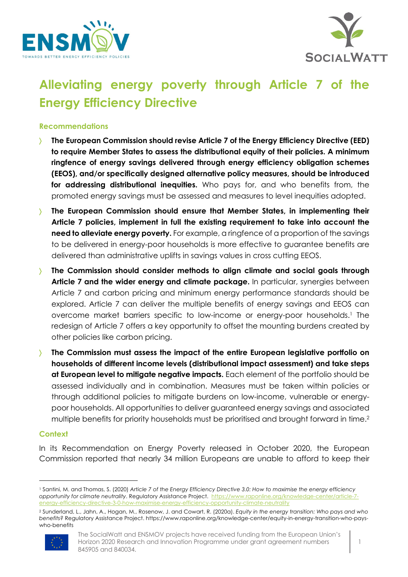



# **Alleviating energy poverty through Article 7 of the Energy Efficiency Directive**

# **Recommendations**

- ñ **The European Commission should revise Article 7 of the Energy Efficiency Directive (EED) to require Member States to assess the distributional equity of their policies. A minimum ringfence of energy savings delivered through energy efficiency obligation schemes (EEOS), and/or specifically designed alternative policy measures, should be introduced for addressing distributional inequities.** Who pays for, and who benefits from, the promoted energy savings must be assessed and measures to level inequities adopted.
- **The European Commission should ensure that Member States, in implementing their Article 7 policies, implement in full the existing requirement to take into account the need to alleviate energy poverty.** For example, a ringfence of a proportion of the savings to be delivered in energy-poor households is more effective to guarantee benefits are delivered than administrative uplifts in savings values in cross cutting EEOS.
- ñ **The Commission should consider methods to align climate and social goals through Article 7 and the wider energy and climate package.** In particular, synergies between Article 7 and carbon pricing and minimum energy performance standards should be explored. Article 7 can deliver the multiple benefits of energy savings and EEOS can overcome market barriers specific to low-income or energy-poor households.<sup>1</sup> The redesign of Article 7 offers a key opportunity to offset the mounting burdens created by other policies like carbon pricing.
- **The Commission must assess the impact of the entire European legislative portfolio on households of different income levels (distributional impact assessment) and take steps at European level to mitigate negative impacts.** Each element of the portfolio should be assessed individually and in combination. Measures must be taken within policies or through additional policies to mitigate burdens on low-income, vulnerable or energypoor households. All opportunities to deliver guaranteed energy savings and associated multiple benefits for priority households must be prioritised and brought forward in time.<sup>2</sup>

#### **Context**

In its Recommendation on Energy Poverty released in October 2020, the European Commission reported that nearly 34 million Europeans are unable to afford to keep their

<sup>2</sup> Sunderland, L., Jahn, A., Hogan, M., Rosenow, J. and Cowart, R. (2020a). *Equity in the energy transition: Who pays and who benefits?* Regulatory Assistance Project. https://www.raponline.org/knowledge-center/equity-in-energy-transition-who-payswho-benefits



<sup>1</sup> Santini, M. and Thomas, S. (2020) *Article 7 of the Energy Efficiency Directive 3.0: How to maximise the energy efficiency opportunity for climate neutrality*. Regulatory Assistance Project. https://www.raponline.org/knowledge-center/article-7 energy-efficiency-directive-3-0-how-maximise-energy-efficiency-opportunity-climate-neutrality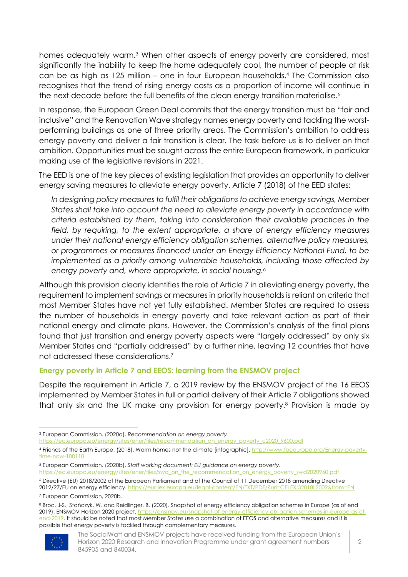homes adequately warm.<sup>3</sup> When other aspects of energy poverty are considered, most significantly the inability to keep the home adequately cool, the number of people at risk can be as high as 125 million – one in four European households.4 The Commission also recognises that the trend of rising energy costs as a proportion of income will continue in the next decade before the full benefits of the clean energy transition materialise.<sup>5</sup>

In response, the European Green Deal commits that the energy transition must be "fair and inclusive" and the Renovation Wave strategy names energy poverty and tackling the worstperforming buildings as one of three priority areas. The Commission's ambition to address energy poverty and deliver a fair transition is clear. The task before us is to deliver on that ambition. Opportunities must be sought across the entire European framework, in particular making use of the legislative revisions in 2021.

The EED is one of the key pieces of existing legislation that provides an opportunity to deliver energy saving measures to alleviate energy poverty. Article 7 (2018) of the EED states:

*In designing policy measures to fulfil their obligations to achieve energy savings, Member States shall take into account the need to alleviate energy poverty in accordance with criteria established by them, taking into consideration their available practices in the field, by requiring, to the extent appropriate, a share of energy efficiency measures under their national energy efficiency obligation schemes, alternative policy measures, or programmes or measures financed under an Energy Efficiency National Fund, to be implemented as a priority among vulnerable households, including those affected by energy poverty and, where appropriate, in social housing.6*

Although this provision clearly identifies the role of Article 7 in alleviating energy poverty, the requirement to implement savings or measures in priority households is reliant on criteria that most Member States have not yet fully established. Member States are required to assess the number of households in energy poverty and take relevant action as part of their national energy and climate plans. However, the Commission's analysis of the final plans found that just transition and energy poverty aspects were "largely addressed" by only six Member States and "partially addressed" by a further nine, leaving 12 countries that have not addressed these considerations.7

# **Energy poverty in Article 7 and EEOS: learning from the ENSMOV project**

Despite the requirement in Article 7, a 2019 review by the ENSMOV project of the 16 EEOS implemented by Member States in full or partial delivery of their Article 7 obligations showed that only six and the UK make any provision for energy poverty.8 Provision is made by

<sup>8</sup> Broc, J-S., Stańczyk, W. and Reidlinger, B. (2020). Snapshot of energy efficiency obligation schemes in Europe (as of end 2019). ENSMOV Horizon 2020 project. https://ensmov.eu/snapshot-of-energy-efficiency-obligation-schemes-in-europe-as-ofend-2019. It should be noted that most Member States use a combination of EEOS and alternative measures and it is possible that energy poverty is tackled through complementary measures.



The SocialWatt and ENSMOV projects have received funding from the European Union's Horizon 2020 Research and Innovation Programme under grant agreement numbers 845905 and 840034.

<sup>3</sup> European Commission. (2020a). *Recommendation on energy poverty*

https://ec.europa.eu/energy/sites/ener/files/recommendation\_on\_energy\_poverty\_c2020\_9600.pdf

<sup>4</sup> Friends of the Earth Europe. (2018). Warm homes not the climate [infographic]. http://www.foeeurope.org/Energy-povertytime-now-100118

<sup>5</sup> European Commission. (2020b). *Staff working document: EU guidance on energy poverty.* https://ec.europa.eu/energy/sites/ener/files/swd\_on\_the\_recommendation\_on\_energy\_poverty\_swd2020960.pdf

<sup>6</sup> Directive (EU) 2018/2002 of the European Parliament and of the Council of 11 December 2018 amending Directive 2012/27/EU on energy efficiency. https://eur-lex.europa.eu/legal-content/EN/TXT/PDF/?uri=CELEX:32018L2

<sup>7</sup> European Commission, 2020b.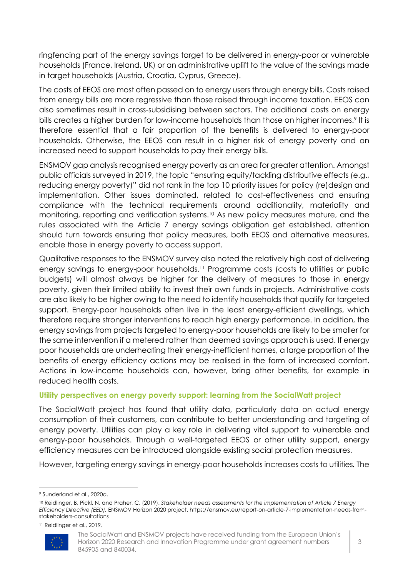ringfencing part of the energy savings target to be delivered in energy-poor or vulnerable households (France, Ireland, UK) or an administrative uplift to the value of the savings made in target households (Austria, Croatia, Cyprus, Greece).

The costs of EEOS are most often passed on to energy users through energy bills. Costs raised from energy bills are more regressive than those raised through income taxation. EEOS can also sometimes result in cross-subsidising between sectors. The additional costs on energy bills creates a higher burden for low-income households than those on higher incomes.<sup>9</sup> It is therefore essential that a fair proportion of the benefits is delivered to energy-poor households. Otherwise, the EEOS can result in a higher risk of energy poverty and an increased need to support households to pay their energy bills.

ENSMOV gap analysis recognised energy poverty as an area for greater attention. Amongst public officials surveyed in 2019, the topic "ensuring equity/tackling distributive effects (e.g., reducing energy poverty)" did not rank in the top 10 priority issues for policy (re)design and implementation. Other issues dominated, related to cost-effectiveness and ensuring compliance with the technical requirements around additionality, materiality and monitoring, reporting and verification systems. <sup>10</sup> As new policy measures mature, and the rules associated with the Article 7 energy savings obligation get established, attention should turn towards ensuring that policy measures, both EEOS and alternative measures, enable those in energy poverty to access support.

Qualitative responses to the ENSMOV survey also noted the relatively high cost of delivering energy savings to energy-poor households.<sup>11</sup> Programme costs (costs to utilities or public budgets) will almost always be higher for the delivery of measures to those in energy poverty, given their limited ability to invest their own funds in projects. Administrative costs are also likely to be higher owing to the need to identify households that qualify for targeted support. Energy-poor households often live in the least energy-efficient dwellings, which therefore require stronger interventions to reach high energy performance. In addition, the energy savings from projects targeted to energy-poor households are likely to be smaller for the same intervention if a metered rather than deemed savings approach is used. If energy poor households are underheating their energy-inefficient homes, a large proportion of the benefits of energy efficiency actions may be realised in the form of increased comfort. Actions in low-income households can, however, bring other benefits, for example in reduced health costs.

## **Utility perspectives on energy poverty support: learning from the SocialWatt project**

The SocialWatt project has found that utility data, particularly data on actual energy consumption of their customers, can contribute to better understanding and targeting of energy poverty. Utilities can play a key role in delivering vital support to vulnerable and energy-poor households. Through a well-targeted EEOS or other utility support, energy efficiency measures can be introduced alongside existing social protection measures.

However, targeting energy savings in energy-poor households increases costs to utilities*.* The

<sup>11</sup> Reidlinger et al., 2019.



The SocialWatt and ENSMOV projects have received funding from the European Union's Horizon 2020 Research and Innovation Programme under grant agreement numbers 845905 and 840034.

<sup>9</sup> Sunderland et al., 2020a.

<sup>10</sup> Reidlinger, B, Pickl, N. and Praher, C. (2019). *Stakeholder needs assessments for the implementation of Article 7 Energy Efficiency Directive (EED).* ENSMOV Horizon 2020 project. https://ensmov.eu/report-on-article-7-implementation-needs-fromstakeholders-consultations